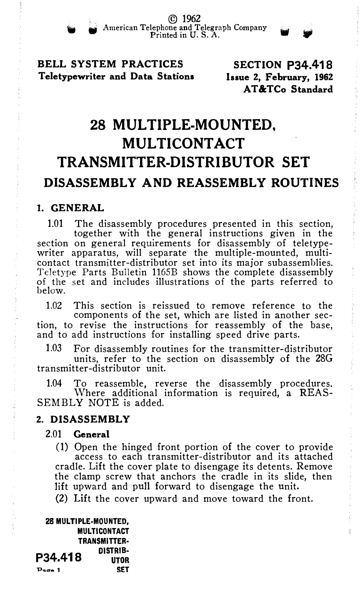BELL SYSTEM PRACTICES Teletypewriter and Data Stations

SECTION P34.418 Issue 2, February, 1962 AT&TCo Standard

# 28 MULTIPLE-MOUNTED, **MULTICONTACT** TRANSMITTER-DISTRIBUTOR SET DISASSEMBLY AND REASSEMBLY ROUTINES

#### 1. GENERAL

1.01 The disassembly procedures presented in this section, together with the general instructions given in the section on general requirements for disassembly of teletypewriter apparatus, will separate the multiple-mounted, multicontact transmitter-distributor set into its major subassemblies. Teletype Parts Bulletin 116SB shows the complete disassembly of the set and includes illustrations of the parts referred to below.

1.02 This section is reissued to remove reference to the components of the set, which are listed in another section, to revise the instructions for reassembly of the base, and to add instructions for installing speed drive parts.

1.03 For disassembly routines for the transmitter-distributor

units, refer to the section on disassembly of the 28G transmitter-distributor unit.

1.04 To reassemble, reverse the disassembly procedures. Where additional information is required, a REAS-SEMBLY NOTE is added.

### 2. DISASSEMBLY

### 2.01 General

(1) Open the hinged front portion of the cover to provide access to each transmitter-distributor and its attached cradle. Lift the cover plate to disengage its detents. Remove the clamp screw that anchors the cradle in its slide, then lift upward and pull forward to disengage the unit.

(2) Lift the cover upward and move toward the front.

28 MULTIPLE-MOUNTED, **MULTICONTACT** TRANSMITTER· **P34.418 DISTRIB-**Page 1 SET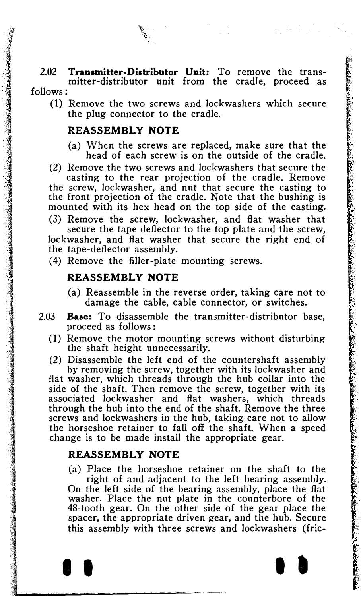2.02 Transmitter-Distributor Unit: To remove the transmitter-distributor unit from the cradle, proceed as follows:

(1) Remove the two screws and lockwashers which secure the plug connector to the cradle.

## REASSEMBLY NOTE

- (a) When the screws are replaced, make sure that the head of each screw is on the outside of the cradle.
- (2) Remove the two screws and lockwashers that secure the casting to the rear projection of the cradle. Remove the screw, lockwasher, and nut that secure the casting to the front projection of the cradle. Note that the bushing is mounted with its hex head on the top side of the casting.
- (3) Remove the screw, lockwasher, and flat washer that secure the tape deflector to the top plate and the screw, lockwasher, and fiat washer that secure the right end of the tape-deflector assembly.
- ( 4) Remove the filler-plate mounting screws.

## REASSEMBLY NOTE

- (a) Reassemble in the reverse order, taking care not to damage the cable, cable connector, or switches.
- 2.03 Base: To disassemble the transmitter-distributor base, proceed as follows :
	- (1) Remove the motor mounting screws without disturbing the shaft height unnecessarily.
	- (2) Disassemble the left end of the countershaft assembly by removing the screw, together with its lockwasher and fiat washer, which threads through the hub collar into the

side of the shaft. Then remove the screw, together with its associated lockwasher and fiat washers, which threads through the hub into the end of the shaft. Remove the three screws and lockwashers in the hub, taking care not to allow the horseshoe retainer to fall off the shaft. When a speed change is to be made install the appropriate gear.

## REASSEMBLY NOTE

(a) Place the horseshoe retainer on the shaft to the right of and adjacent to the left bearing assembly. On the left side of the bearing assembly, place the fiat washer. Place the nut plate in the counterbore of the 48-tooth gear. On the other side of the gear place the spacer, the appropriate driven gear, and the hub. Secure this assembly with three screws and lockwashers (fric-

**I I I I I**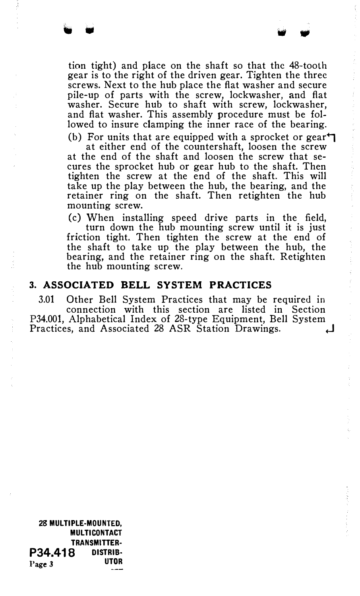tion tight) and place on the shaft so that the 48-toolh gear is to the right of the driven gear. Tighten the three screws. Next to the hub place the flat washer and secure pile-up of parts with the screw, lockwasher, and flat washer. Secure hub to shaft with screw, lockwasher, and flat washer. This assembly procedure must be followed to insure clamping the inner race of the bearing.

(b) For units that are equipped with a sprocket or gear $\uparrow$ at either end of the countershaft, loosen the screw at the end of the shaft and loosen the screw that secures the sprocket hub or gear hub to the shaft. Then tighten the screw at the end of the shaft. This will take up the play between the hub, the bearing, and the retainer ring on the shaft. Then retighten the hub mounting screw.

(c) When installing speed drive parts in the field, turn down the hub mounting screw until it is just friction tight. Then tighten the screw at the end of the shaft to take up the play between the hub, the bearing, and the retainer ring on the shaft. Retighten the hub mounting screw.

### 3. ASSOCIATED BELL SYSTEM PRACTICES

3.01 Other Bell System Practices that may be required in connection with this section are listed in Section P34.001, Alphabetical Index of 28-type Equipment, Bell System Practices, and Associated 28 ASR Station Drawings. .J

28 MULTIPLE-MOUNTED, **MULTICONTACT** TRANSMITTER-**P34.418** DISTRIB-Page 3 UTOR